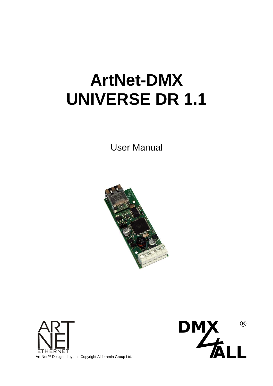# **ArtNet-DMX UNIVERSE DR 1.1**

User Manual





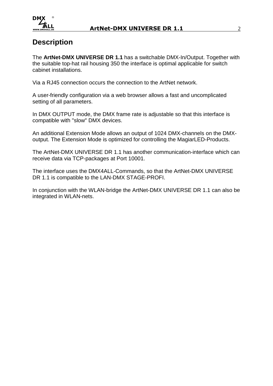

## **Description**

The **ArtNet-DMX UNIVERSE DR 1.1** has a switchable DMX-In/Output. Together with the suitable top-hat rail housing 350 the interface is optimal applicable for switch cabinet installations.

Via a RJ45 connection occurs the connection to the ArtNet network.

A user-friendly configuration via a web browser allows a fast and uncomplicated setting of all parameters.

In DMX OUTPUT mode, the DMX frame rate is adjustable so that this interface is compatible with "slow" DMX devices.

An additional Extension Mode allows an output of 1024 DMX-channels on the DMXoutput. The Extension Mode is optimized for controlling the MagiarLED-Products.

The ArtNet-DMX UNIVERSE DR 1.1 has another communication-interface which can receive data via TCP-packages at Port 10001.

The interface uses the DMX4ALL-Commands, so that the ArtNet-DMX UNIVERSE DR 1.1 is compatible to the LAN-DMX STAGE-PROFI.

In conjunction with the WLAN-bridge the ArtNet-DMX UNIVERSE DR 1.1 can also be integrated in WLAN-nets.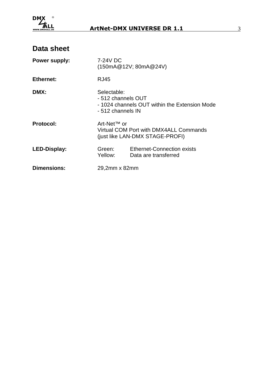

| Power supply:      | 7-24V DC<br>(150mA@12V; 80mA@24V)                                                                       |                                                                           |  |  |  |
|--------------------|---------------------------------------------------------------------------------------------------------|---------------------------------------------------------------------------|--|--|--|
| <b>Ethernet:</b>   | <b>RJ45</b>                                                                                             |                                                                           |  |  |  |
| DMX:               | Selectable:<br>- 512 channels OUT<br>- 1024 channels OUT within the Extension Mode<br>- 512 channels IN |                                                                           |  |  |  |
| <b>Protocol:</b>   | Art-Net <sup>™</sup> or                                                                                 | Virtual COM Port with DMX4ALL Commands<br>(just like LAN-DMX STAGE-PROFI) |  |  |  |
| LED-Display:       | Green:<br>Yellow:                                                                                       | <b>Ethernet-Connection exists</b><br>Data are transferred                 |  |  |  |
| <b>Dimensions:</b> | 29,2mm x 82mm                                                                                           |                                                                           |  |  |  |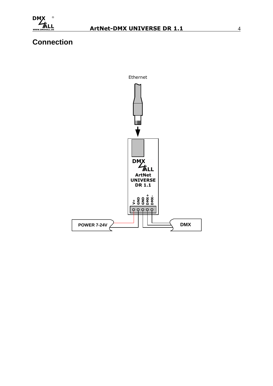

# **Connection**

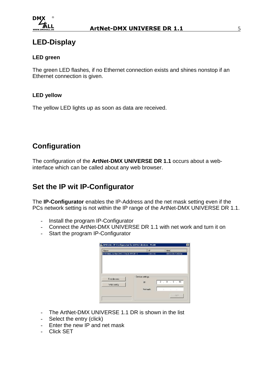

## **LED-Display**

#### **LED green**

The green LED flashes, if no Ethernet connection exists and shines nonstop if an Ethernet connection is given.

#### **LED yellow**

The yellow LED lights up as soon as data are received.

## **Configuration**

The configuration of the **ArtNet-DMX UNIVERSE DR 1.1** occurs about a webinterface which can be called about any web browser.

## **Set the IP wit IP-Configurator**

The **IP-Configurator** enables the IP-Address and the net mask setting even if the PCs network setting is not within the IP range of the ArtNet-DMX UNIVERSE DR 1.1.

- Install the program IP-Configurator
- Connect the ArtNet-DMX UNIVERSE DR 1.1 with net work and turn it on
- Start the program IP-Configurator

| Name                             | IP              | MAC                             |
|----------------------------------|-----------------|---------------------------------|
| DMX4ALL ArtNet-DMX STAGE-PROFI 1 | 2.0.0.10        | 00-60-35-72-03-6e               |
|                                  |                 |                                 |
|                                  |                 |                                 |
| Find devices                     | Device settings |                                 |
| Web config                       | IP:             | $2 \times 0 \times 0 \times 10$ |
|                                  | Netmask:        |                                 |

- The ArtNet-DMX UNIVERSE 1.1 DR is shown in the list
- Select the entry (click)
- Enter the new IP and net mask
- Click SET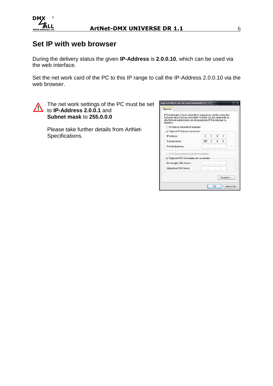

## **Set IP with web browser**

During the delivery status the given **IP-Address** is **2.0.0.10**, which can be used via the web interface.

Set the net work card of the PC to this IP range to call the IP-Address 2.0.0.10 via the web browser.



The net work settings of the PC must be set to **IP-Address 2.0.0.1** and **Subnet mask** to **255.0.0.0**

> Please take further details from ArtNet-Specifications.

| IP-Einstellungen können automatisch zugewiesen werden, wenn das<br>Netzwerk diese Funktion unterstützt. Wenden Sie sich andernfalls an<br>den Netzwerkadministrator, um die geeigneten IP-Einstellungen zu<br>beziehen. |             |    |    |                     |           |  |
|-------------------------------------------------------------------------------------------------------------------------------------------------------------------------------------------------------------------------|-------------|----|----|---------------------|-----------|--|
| <sup>1</sup> IP-Adresse automatisch beziehen                                                                                                                                                                            |             |    |    |                     |           |  |
| · Folgende IP-Adresse verwenden:                                                                                                                                                                                        |             |    |    |                     |           |  |
| IP-Adresse:                                                                                                                                                                                                             |             |    |    | $2$ , $0$ , $0$ , 1 |           |  |
| Subnetzmaske:                                                                                                                                                                                                           | 255.0.0.0.0 |    |    |                     |           |  |
| Standardgateway:                                                                                                                                                                                                        |             | 82 | e. | PX.                 |           |  |
| C DNS-Serveradresse automatisch beziehen                                                                                                                                                                                |             |    |    |                     |           |  |
| <b>O</b> Folgende DNS-Serveradressen verwenden:                                                                                                                                                                         |             |    |    |                     |           |  |
| Bevorzugter DNS-Server:                                                                                                                                                                                                 |             | ö. | ×. | 89                  |           |  |
| Alternativer DNS-Server:                                                                                                                                                                                                |             |    |    |                     |           |  |
|                                                                                                                                                                                                                         |             |    |    |                     |           |  |
|                                                                                                                                                                                                                         |             |    |    |                     | Frweitert |  |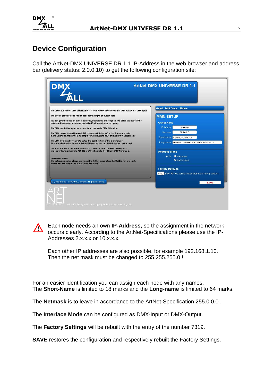

# **Device Configuration**

Call the ArtNet-DMX UNIVERSE DR 1.1 IP-Address in the web browser and address bar (delivery status: 2.0.0.10) to get the following configuration site:

| The DMX4ALL ArtNet-DMX UNIVERSE DR 1.1 is an ArtNet interface with 1 DMX output or 1 DMX input.                                                                        | Global DMX-Output Update                                         |
|------------------------------------------------------------------------------------------------------------------------------------------------------------------------|------------------------------------------------------------------|
| The device provides one ArtNet Node for the input or output port.                                                                                                      |                                                                  |
|                                                                                                                                                                        | <b>MAIN SETUP</b>                                                |
| You can give the node an own IP address, shortname and longname to differ the node in the<br>network. Please use in one network the IP address 2.x.x.x or 10.x.x.x     | <b>ArtNet Node</b>                                               |
| The DMX input allows you to set a refresh rate and a DMX fail option.                                                                                                  | IP Adress:<br>2.0.0.10                                           |
| The DMX output is working with 512 channels (1 Universe) in the Standard mode.                                                                                         | Netmask<br>255.0.0.0                                             |
| In the Extension mode the DMX output is working with 1024 channels (1+1 Universes).                                                                                    | Short Name: ArtNet-DMX DR 1.1                                    |
| The DMX-Routing allows you to setup the combination of the 2 universes.<br>After the given value from the 1st DMX Universe the 2nd DMX Universe is attached.           | Long Name: DMX4ALL ArtNet-DMX UNIVERSE DR 1.1                    |
| Example: 450 in the input box means the channels 1-450 from DMX Universe 1<br>and the following channels 451-963 are the channels 1-512 from DMX Universe 2.           | <b>Interface Mode</b>                                            |
|                                                                                                                                                                        |                                                                  |
| <b>EXTENSION SETUP</b><br>The extension setup allows you to set the ArtNet parameters for SubNet,Net and Port.<br>Please set Net always to 0 if you don't use ArtNet3! | <b>O</b> DMX-Input<br>Mode:<br><b>O</b> DMX-Output               |
|                                                                                                                                                                        | <b>Factory Defaults</b>                                          |
|                                                                                                                                                                        | 0000 Enter 7319 to set the ArtNet-Interface to factory defaults. |
| C Copyright 2014 DMX4ALL GmbH All rights reserved.                                                                                                                     | <b>Save</b>                                                      |

Each node needs an own **IP-Address,** so the assignment in the network  $\bigwedge$ occurs clearly. According to the ArtNet-Specifications please use the IP-Addresses 2.x.x.x or 10.x.x.x.

Each other IP addresses are also possible, for example 192.168.1.10. Then the net mask must be changed to 255.255.255.0 !

For an easier identification you can assign each node with any names. The **Short-Name** is limited to 18 marks and the **Long-name** is limited to 64 marks.

The **Netmask** is to leave in accordance to the ArtNet-Specification 255.0.0.0 .

The **Interface Mode** can be configured as DMX-Input or DMX-Output.

The **Factory Settings** will be rebuilt with the entry of the number 7319.

**SAVE** restores the configuration and respectively rebuilt the Factory Settings.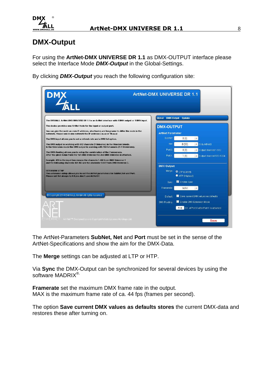

## **DMX-Output**

For using the **ArtNet-DMX UNIVERSE DR 1.1** as DMX-OUTPUT interface please select the Interface Mode **DMX-Output** in the Global-Settings.

By clicking **DMX-Output** you reach the following configuration site:

|                                                                                                                                                                         | <b>ArtNet-DMX UNIVERSE DR 1.1</b> |                                 |                                            |
|-------------------------------------------------------------------------------------------------------------------------------------------------------------------------|-----------------------------------|---------------------------------|--------------------------------------------|
| The DMX4ALL ArtNet-DMX UNIVERSE DR 1.1 is an ArtNet interface with 1 DMX output or 1 DMX input.                                                                         | Global DMX-Output Undate          |                                 |                                            |
| The device provides one ArtNet Node for the input or output port.                                                                                                       | <b>DMX-OUTPUT</b>                 |                                 |                                            |
| You can give the node an own IP address, shortname and longname to differ the node in the<br>network. Please use in one network the IP address 2.x.x.x or 10.x.x.x      | <b>ArtNet Parameter</b>           |                                 |                                            |
| The DMX input allows you to set a refresh rate and a DMX fail option.                                                                                                   | SubNet:                           | 0(0)                            | $\overline{\tau}$                          |
| The DMX output is working with 512 channels (1 Universe) in the Standard mode.                                                                                          | Net                               | 0(00)                           | <b>Delivery</b> Only ArtNet3               |
| In the Extension mode the DMX output is working with 1024 channels (1+1 Universes).                                                                                     | Port 0                            | 0(0)                            | Output channel 1-512                       |
| The DMX-Routing allows you to setup the combination of the 2 universes.<br>After the given value from the 1st DMX Universe the 2nd DMX Universe is attached.            | Port 1                            | 1(1)                            | Output channel 513-1024                    |
| Example: 450 in the input box means the channels 1-450 from DMX Universe 1<br>and the following channels 451-963 are the channels 1-512 from DMX Universe 2.            |                                   |                                 |                                            |
|                                                                                                                                                                         | <b>DMX Output</b>                 |                                 |                                            |
| <b>EXTENSION SETUP</b><br>The extension setup allows you to set the ArtNet parameters for SubNet, Net and Port.<br>Please set Net always to 0 if you don't use ArtNet3! | Merge:                            | O LTP (Latest)<br>HTP (Highest) |                                            |
|                                                                                                                                                                         | Sync:                             | Enable Sync                     |                                            |
|                                                                                                                                                                         | Framerate:                        | <b>MAX</b>                      |                                            |
| Copyright 2014 DMX4ALL GmbH All rights reserved.                                                                                                                        | Default:                          |                                 | Save current DMX values as defaults        |
|                                                                                                                                                                         | DMX Routing:                      |                                 | Enable DMX Extension Mode                  |
|                                                                                                                                                                         |                                   |                                 | 510 Ch. of Port 0 after Port 1 is attached |
| ETHERNET Art Net TV Designed by and Copyright Artistic Licence Holdings Ltd.                                                                                            |                                   |                                 | Save                                       |

The ArtNet-Parameters **SubNet, Net** and **Port** must be set in the sense of the ArtNet-Specifications and show the aim for the DMX-Data.

The **Merge** settings can be adjusted at LTP or HTP.

Via **Sync** the DMX-Output can be synchronized for several devices by using the software MADRIX<sup>®</sup>.

**Framerate** set the maximum DMX frame rate in the output. MAX is the maximum frame rate of ca. 44 fps (frames per second).

The option **Save current DMX values as defaults stores** the current DMX-data and restores these after turning on.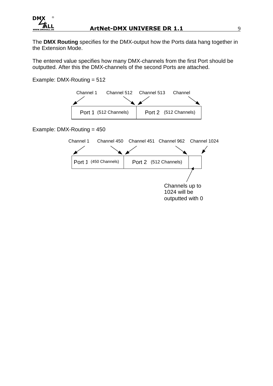

The **DMX Routing** specifies for the DMX-output how the Ports data hang together in the Extension Mode.

The entered value specifies how many DMX-channels from the first Port should be outputted. After this the DMX-channels of the second Ports are attached.

Example: DMX-Routing = 512



Example: DMX-Routing = 450

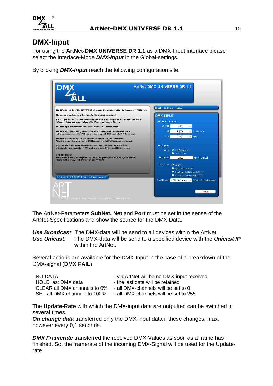

## **DMX-Input**

For using the **ArtNet-DMX UNIVERSE DR 1.1** as a DMX-Input interface please select the Interface-Mode **DMX-Input** in the Global-settings.

By clicking **DMX-Input** reach the following configuration site:

| The DMX4ALL ArtNet-DMX UNIVERSE DR 1.1 is an ArtNet interface with 1 DMX output or 1 DMX input.                                                                                                                                                     | Global DMX-Input Update |                        |                                                              |
|-----------------------------------------------------------------------------------------------------------------------------------------------------------------------------------------------------------------------------------------------------|-------------------------|------------------------|--------------------------------------------------------------|
| The device provides one ArtNet Node for the input or output port.                                                                                                                                                                                   | <b>DMX-INPUT</b>        |                        |                                                              |
| You can give the node an own IP address, shortname and longname to differ the node in the<br>network. Please use in one network the IP address 2.x.x.x or 10.x.x.x                                                                                  | <b>ArtNet Parameter</b> |                        |                                                              |
| The DMX input allows you to set a refresh rate and a DMX fail option.                                                                                                                                                                               | SubNet                  | 0(0)                   | $\pi$                                                        |
| The DMX output is working with 512 channels (1 Universe) in the Standard mode.                                                                                                                                                                      | Net                     | 0(00)                  | <b>Div ArtNet3</b>                                           |
| In the Extension mode the DMX output is working with 1024 channels (1+1 Universes).<br>The DMX-Routing allows you to setup the combination of the 2 universes.<br>After the given value from the 1st DMX Universe the 2nd DMX Universe is attached. | Port                    | 0(0)                   | <b>x</b> Input                                               |
| Example: 450 in the input box means the channels 1-450 from DMX Universe 1                                                                                                                                                                          | <b>DMX Input</b>        |                        |                                                              |
| and the following channels 451-963 are the channels 1-512 from DMX Universe 2.                                                                                                                                                                      | Mode:                   | <b>O</b> Use Broadcast |                                                              |
| <b>EXTENSION SETUP</b>                                                                                                                                                                                                                              |                         | Use Unicast            |                                                              |
| The extension setup allows you to set the ArtNet parameters for SubNet, Net and Port.<br>Please set Net always to 0 if you don't use ArtNet3!                                                                                                       | Unicast IP:             | 2.0.0.1                | only for Unicast                                             |
|                                                                                                                                                                                                                                                     | DMX-IN Fail:            | <b>O</b> NO DATA       |                                                              |
|                                                                                                                                                                                                                                                     |                         | HOLD last DMX data     |                                                              |
|                                                                                                                                                                                                                                                     |                         |                        | CLEAR all DMX channels to 0%<br>SET all DMX channels to 100% |
| @ Copyright 2014 DMX4ALL GmbH All rights reserved.                                                                                                                                                                                                  | <b>Update Rate:</b>     |                        | DMX framerate   v   DMX IN - Refresh interval                |

The ArtNet-Parameters **SubNet, Net** and **Port** must be set in the sense of the ArtNet-Specifications and show the source for the DMX-Data.

**Use Broadcast**: The DMX-data will be send to all devices within the ArtNet. **Use Unicast**: The DMX-data will be send to a specified device with the **Unicast IP**  within the ArtNet.

Several actions are available for the DMX-Input in the case of a breakdown of the DMX-signal (**DMX FAIL**)

| NO DATA                      | - via ArtNet will be no DMX-input received |
|------------------------------|--------------------------------------------|
| HOLD last DMX data           | - the last data will be retained           |
| CLEAR all DMX channels to 0% | - all DMX-channels will be set to 0        |
| SET all DMX channels to 100% | - all DMX-channels will be set to 255      |

The **Update-Rate** with which the DMX-input data are outputted can be switched in several times.

**On change data** transferred only the DMX-input data if these changes, max. however every 0,1 seconds.

**DMX Framerate** transferred the received DMX-Values as soon as a frame has finished. So, the framerate of the incoming DMX-Signal will be used for the Updaterate.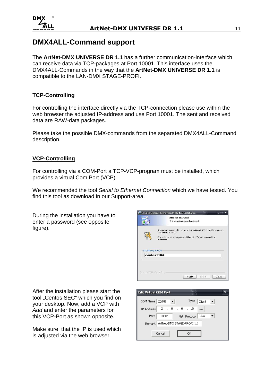

## **DMX4ALL-Command support**

The **ArtNet-DMX UNIVERSE DR 1.1** has a further communication-interface which can receive data via TCP-packages at Port 10001. This interface uses the DMX4ALL-Commands in the way that the **ArtNet-DMX UNIVERSE DR 1.1** is compatible to the LAN-DMX STAGE-PROFI.

#### **TCP-Controlling**

For controlling the interface directly via the TCP-connection please use within the web browser the adjusted IP-address and use Port 10001. The sent and received data are RAW-data packages.

Please take the possible DMX-commands from the separated DMX4ALL-Command description.

#### **VCP-Controlling**

For controlling via a COM-Port a TCP-VCP-program must be installed, which provides a virtual Com Port (VCP).

We recommended the tool Serial to Ethernet Connection which we have tested. You find this tool as download in our Support-area.

During the installation you have to enter a password (see opposite figure).



Make sure, that the IP is used which is adjusted via the web browser.

|                              | <b>Enter the password</b><br>This setup is password protected.                                                                                                                             |
|------------------------------|--------------------------------------------------------------------------------------------------------------------------------------------------------------------------------------------|
|                              | A password is required to begin the installation of SEC. Type the password<br>and then click "Next".<br>If you do not know the password then click "Cancel" to cancel the<br>installation. |
| <b>Installation password</b> | centos1104                                                                                                                                                                                 |
|                              | Copyright 2014, Centos Inc.<br>Cancel<br>$<$ Back<br>Next                                                                                                                                  |
|                              |                                                                                                                                                                                            |

| <b>Edit Virtual COM Port</b> |          |  | ■日一日                       |        |  |
|------------------------------|----------|--|----------------------------|--------|--|
| COM Name   COM5              |          |  | Type                       | Client |  |
| <b>IP Address</b>            | 2.0.0.10 |  |                            |        |  |
| Port                         | 10001    |  | Net. Protocol   RAW        |        |  |
| Remark                       |          |  | ArtNet-DMX STAGE-PROFI 1.1 |        |  |
|                              | Cancel   |  | ОК                         |        |  |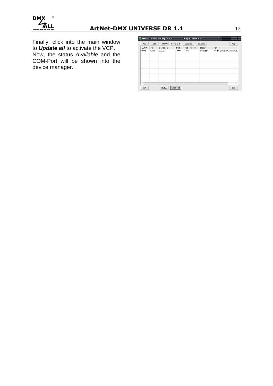

## **ArtNet-DMX UNIVERSE DR 1.1** 12

Finally, click into the main window to **Update all** to activate the VCP. Now, the status Available and the COM-Port will be shown into the device manager.

| 畾             |        | Serial to Ethernet Utility R-1.00 |            | $2011(c)$ Centos Inc. |           | e.                        | $\overline{\mathbf{x}}$<br>أوأو |
|---------------|--------|-----------------------------------|------------|-----------------------|-----------|---------------------------|---------------------------------|
| Add           | Edit   | Remove                            | Remove all | Load list             | Save list |                           | Help                            |
| COM#          | Type   | IP Address                        | Port       | Net. Protocol         | Status    | Remark                    |                                 |
| COM5          | Client | 2.0.0.10                          | 10001      | RAW                   | Available | ArtNet-DMX STAGE-PROFI 1. |                                 |
|               |        |                                   |            |                       |           |                           |                                 |
|               |        |                                   |            |                       |           |                           |                                 |
|               |        |                                   |            |                       |           |                           |                                 |
|               |        |                                   |            |                       |           |                           |                                 |
|               |        |                                   |            |                       |           |                           |                                 |
|               |        |                                   |            |                       |           |                           |                                 |
| $\frac{1}{2}$ |        |                                   |            | HH                    |           |                           | b.                              |
| Sort          |        | Update                            | Update all |                       |           |                           | Exit                            |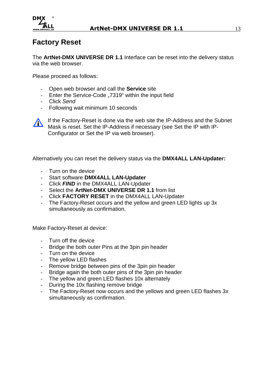

## **Factory Reset**

The **ArtNet-DMX UNIVERSE DR 1.1** Interface can be reset into the delivery status via the web browser.

Please proceed as follows:

- Open web browser and call the **Service** site
- Enter the Service-Code "7319" within the input field
- Click Send
- Following wait minimum 10 seconds



If the Factory-Reset is done via the web site the IP-Address and the Subnet Mask is reset. Set the IP-Address if necessary (see Set the IP with IP-Configurator or Set the IP via web browser).

Alternatively you can reset the delivery status via the **DMX4ALL LAN-Updater:**

- Turn on the device
- Start software **DMX4ALL LAN-Updater**
- Click **FIND** in the DMX4ALL LAN-Updater
- Select the **ArtNet-DMX UNIVERSE DR 1.1** from list
- Click **FACTORY RESET** in the DMX4ALL LAN-Updater
- The Factory-Reset occurs and the yellow and green LED lights up 3x simultaneously as confirmation.

Make Factory-Reset at device:

- Turn off the device
- Bridge the both outer Pins at the 3pin pin header
- Turn on the device
- The yellow LED flashes
- Remove bridge between pins of the 3pin pin header
- Bridge again the both outer pins of the 3pin pin header
- The yellow and green LED flashes 10x alternately
- During the 10x flashing remove bridge
- The Factory-Reset now occurs and the yellows and green LED flashes 3x simultaneously as confirmation.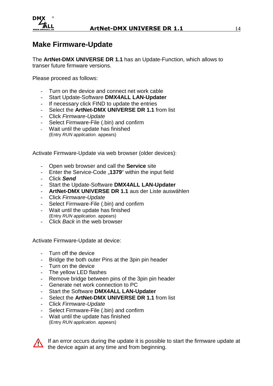

## **Make Firmware-Update**

The **ArtNet-DMX UNIVERSE DR 1.1** has an Update-Function, which allows to transer future firmware versions.

Please proceed as follows:

- Turn on the device and connect net work cable
- Start Update-Software **DMX4ALL LAN-Updater**
- If necessary click FIND to update the entries
- Select the **ArtNet-DMX UNIVERSE DR 1.1** from list
- Click Firmware-Update
- Select Firmware-File (.bin) and confirm
- Wait until the update has finished (Entry RUN application. appears)

Activate Firmware-Update via web browser (older devices):

- Open web browser and call the **Service** site
- Enter the Service-Code "1379" within the input field
- Click **Send**
- Start the Update-Software **DMX4ALL LAN-Updater**
- **ArtNet-DMX UNIVERSE DR 1.1** aus der Liste auswählen
- Click Firmware-Update
- Select Firmware-File (.bin) and confirm
- Wait until the update has finished (Entry RUN application. appears)
- Click Back in the web browser

Activate Firmware-Update at device:

- Turn off the device
- Bridge the both outer Pins at the 3pin pin header
- Turn on the device
- The yellow LED flashes
- Remove bridge between pins of the 3pin pin header
- Generate net work connection to PC
- Start the Software **DMX4ALL LAN-Updater**
- Select the **ArtNet-DMX UNIVERSE DR 1.1** from list
- Click Firmware-Update
- Select Firmware-File (.bin) and confirm
- Wait until the update has finished
- (Entry RUN application. appears)



If an error occurs during the update it is possible to start the firmware update at the device again at any time and from beginning.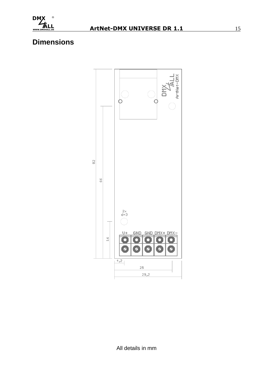

# **Dimensions**

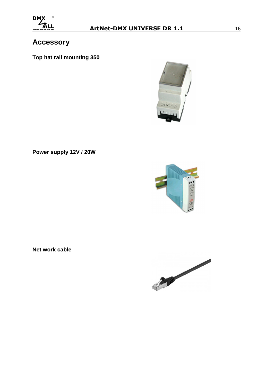

# **Accessory**

**Top hat rail mounting 350** 



**Power supply 12V / 20W** 



**Net work cable** 

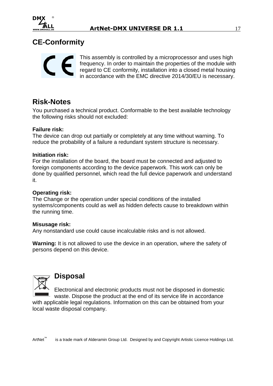

# **CE-Conformity**



This assembly is controlled by a microprocessor and uses high frequency. In order to maintain the properties of the module with regard to CE conformity, installation into a closed metal housing in accordance with the EMC directive 2014/30/EU is necessary.

## **Risk-Notes**

You purchased a technical product. Conformable to the best available technology the following risks should not excluded:

#### **Failure risk:**

The device can drop out partially or completely at any time without warning. To reduce the probability of a failure a redundant system structure is necessary.

#### **Initiation risk:**

For the installation of the board, the board must be connected and adjusted to foreign components according to the device paperwork. This work can only be done by qualified personnel, which read the full device paperwork and understand it.

#### **Operating risk:**

The Change or the operation under special conditions of the installed systems/components could as well as hidden defects cause to breakdown within the running time.

#### **Misusage risk:**

Any nonstandard use could cause incalculable risks and is not allowed.

**Warning:** It is not allowed to use the device in an operation, where the safety of persons depend on this device.



### **Disposal**

Electronical and electronic products must not be disposed in domestic waste. Dispose the product at the end of its service life in accordance

with applicable legal regulations. Information on this can be obtained from your local waste disposal company.